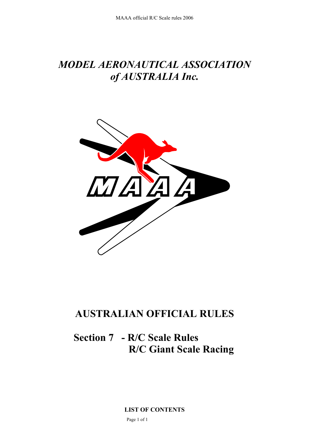# *MODEL AERONAUTICAL ASSOCIATION of AUSTRALIA Inc.*



# **AUSTRALIAN OFFICIAL RULES**

# **Section 7 - R/C Scale Rules R/C Giant Scale Racing**

**LIST OF CONTENTS**  Page 1 of 1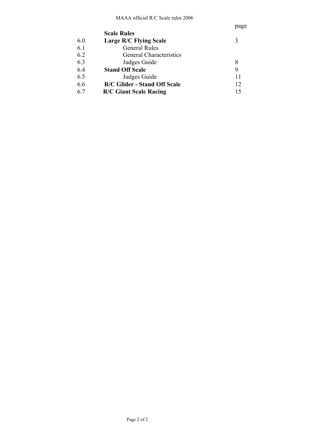|     |                                     | page |
|-----|-------------------------------------|------|
|     | <b>Scale Rules</b>                  |      |
| 60  | <b>Large R/C Flying Scale</b>       | 3    |
| 6.1 | <b>General Rules</b>                |      |
| 6.2 | <b>General Characteristics</b>      |      |
| 6.3 | Judges Guide                        | 8    |
| 6.4 | <b>Stand Off Scale</b>              | 9    |
| 6.5 | Judges Guide                        | 11   |
| 6.6 | <b>R/C Glider - Stand Off Scale</b> | 12   |
| 67  | <b>R/C Giant Scale Racing</b>       | 15   |
|     |                                     |      |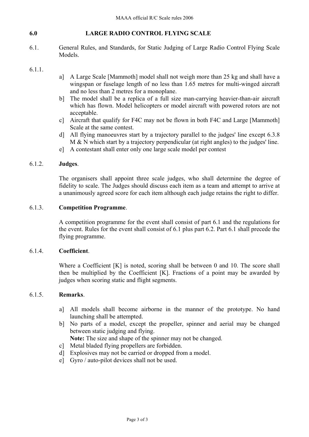## **6.0 LARGE RADIO CONTROL FLYING SCALE**

6.1. General Rules, and Standards, for Static Judging of Large Radio Control Flying Scale Models.

## 6.1.1.

- a] A Large Scale [Mammoth] model shall not weigh more than 25 kg and shall have a wingspan or fuselage length of no less than 1.65 metres for multi-winged aircraft and no less than 2 metres for a monoplane.
- b] The model shall be a replica of a full size man-carrying heavier-than-air aircraft which has flown. Model helicopters or model aircraft with powered rotors are not acceptable.
- c] Aircraft that qualify for F4C may not be flown in both F4C and Large [Mammoth] Scale at the same contest.
- d] All flying manoeuvres start by a trajectory parallel to the judges' line except 6.3.8 M & N which start by a trajectory perpendicular (at right angles) to the judges' line.
- e] A contestant shall enter only one large scale model per contest

## 6.1.2. **Judges**.

The organisers shall appoint three scale judges, who shall determine the degree of fidelity to scale. The Judges should discuss each item as a team and attempt to arrive at a unanimously agreed score for each item although each judge retains the right to differ.

## 6.1.3. **Competition Programme**.

A competition programme for the event shall consist of part 6.1 and the regulations for the event. Rules for the event shall consist of 6.1 plus part 6.2. Part 6.1 shall precede the flying programme.

# 6.1.4. **Coefficient**.

Where a Coefficient [K] is noted, scoring shall be between 0 and 10. The score shall then be multiplied by the Coefficient [K]. Fractions of a point may be awarded by judges when scoring static and flight segments.

## 6.1.5. **Remarks**.

- a] All models shall become airborne in the manner of the prototype. No hand launching shall be attempted.
- b] No parts of a model, except the propeller, spinner and aerial may be changed between static judging and flying.

**Note:** The size and shape of the spinner may not be changed.

- c] Metal bladed flying propellers are forbidden.
- d] Explosives may not be carried or dropped from a model.
- e] Gyro / auto-pilot devices shall not be used.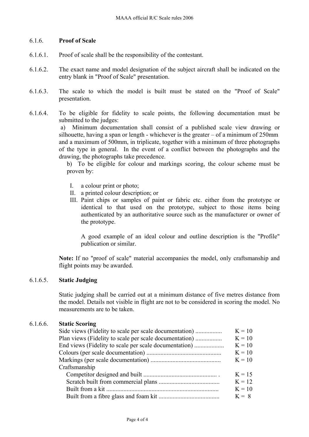# 6.1.6. **Proof of Scale**

- 6.1.6.1. Proof of scale shall be the responsibility of the contestant.
- 6.1.6.2. The exact name and model designation of the subject aircraft shall be indicated on the entry blank in "Proof of Scale" presentation.
- 6.1.6.3. The scale to which the model is built must be stated on the "Proof of Scale" presentation.
- 6.1.6.4. To be eligible for fidelity to scale points, the following documentation must be submitted to the judges:

 a) Minimum documentation shall consist of a published scale view drawing or silhouette, having a span or length - whichever is the greater  $-$  of a minimum of 250mm and a maximum of 500mm, in triplicate, together with a minimum of three photographs of the type in general. In the event of a conflict between the photographs and the drawing, the photographs take precedence.

b) To be eligible for colour and markings scoring, the colour scheme must be proven by:

- I. a colour print or photo;
- II. a printed colour description; or
- III. Paint chips or samples of paint or fabric etc. either from the prototype or identical to that used on the prototype, subject to those items being authenticated by an authoritative source such as the manufacturer or owner of the prototype.

A good example of an ideal colour and outline description is the "Profile" publication or similar.

**Note:** If no "proof of scale" material accompanies the model, only craftsmanship and flight points may be awarded.

## 6.1.6.5. **Static Judging**

Static judging shall be carried out at a minimum distance of five metres distance from the model. Details not visible in flight are not to be considered in scoring the model. No measurements are to be taken.

## 6.1.6.6. **Static Scoring**

|               | $K = 10$ |
|---------------|----------|
|               | $K = 10$ |
|               | $K = 10$ |
|               | $K = 10$ |
|               | $K = 10$ |
| Craftsmanship |          |
|               | $K = 15$ |
|               | $K = 12$ |
|               | $K = 10$ |
|               | $K = 8$  |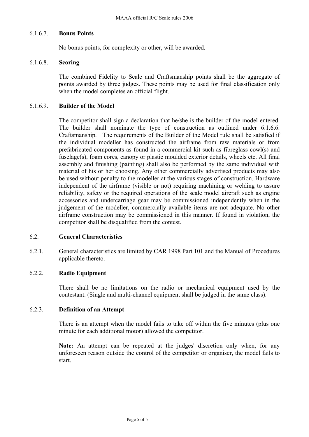## 6.1.6.7. **Bonus Points**

No bonus points, for complexity or other, will be awarded.

## 6.1.6.8. **Scoring**

The combined Fidelity to Scale and Craftsmanship points shall be the aggregate of points awarded by three judges. These points may be used for final classification only when the model completes an official flight.

## 6.1.6.9. **Builder of the Model**

The competitor shall sign a declaration that he/she is the builder of the model entered. The builder shall nominate the type of construction as outlined under 6.1.6.6. Craftsmanship. The requirements of the Builder of the Model rule shall be satisfied if the individual modeller has constructed the airframe from raw materials or from prefabricated components as found in a commercial kit such as fibreglass cowl(s) and fuselage(s), foam cores, canopy or plastic moulded exterior details, wheels etc. All final assembly and finishing (painting) shall also be performed by the same individual with material of his or her choosing. Any other commercially advertised products may also be used without penalty to the modeller at the various stages of construction. Hardware independent of the airframe (visible or not) requiring machining or welding to assure reliability, safety or the required operations of the scale model aircraft such as engine accessories and undercarriage gear may be commissioned independently when in the judgement of the modeller, commercially available items are not adequate. No other airframe construction may be commissioned in this manner. If found in violation, the competitor shall be disqualified from the contest.

## 6.2. **General Characteristics**

6.2.1. General characteristics are limited by CAR 1998 Part 101 and the Manual of Procedures applicable thereto.

# 6.2.2. **Radio Equipment**

There shall be no limitations on the radio or mechanical equipment used by the contestant. (Single and multi-channel equipment shall be judged in the same class).

## 6.2.3. **Definition of an Attempt**

There is an attempt when the model fails to take off within the five minutes (plus one minute for each additional motor) allowed the competitor.

**Note:** An attempt can be repeated at the judges' discretion only when, for any unforeseen reason outside the control of the competitor or organiser, the model fails to start.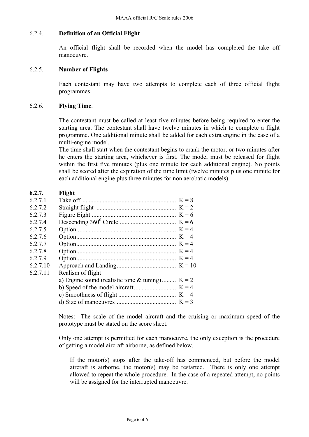### 6.2.4. **Definition of an Official Flight**

An official flight shall be recorded when the model has completed the take off manoeuvre.

#### 6.2.5. **Number of Flights**

Each contestant may have two attempts to complete each of three official flight programmes.

#### 6.2.6. **Flying Time**.

The contestant must be called at least five minutes before being required to enter the starting area. The contestant shall have twelve minutes in which to complete a flight programme. One additional minute shall be added for each extra engine in the case of a multi-engine model.

The time shall start when the contestant begins to crank the motor, or two minutes after he enters the starting area, whichever is first. The model must be released for flight within the first five minutes (plus one minute for each additional engine). No points shall be scored after the expiration of the time limit (twelve minutes plus one minute for each additional engine plus three minutes for non aerobatic models).

# **6.2.7. Flight**

| Realism of flight |                                                   |
|-------------------|---------------------------------------------------|
|                   |                                                   |
|                   |                                                   |
|                   |                                                   |
|                   |                                                   |
|                   | a) Engine sound (realistic tone & tuning) $K = 2$ |

Notes: The scale of the model aircraft and the cruising or maximum speed of the prototype must be stated on the score sheet.

Only one attempt is permitted for each manoeuvre, the only exception is the procedure of getting a model aircraft airborne, as defined below.

If the motor(s) stops after the take-off has commenced, but before the model aircraft is airborne, the motor(s) may be restarted. There is only one attempt allowed to repeat the whole procedure. In the case of a repeated attempt, no points will be assigned for the interrupted manoeuvre.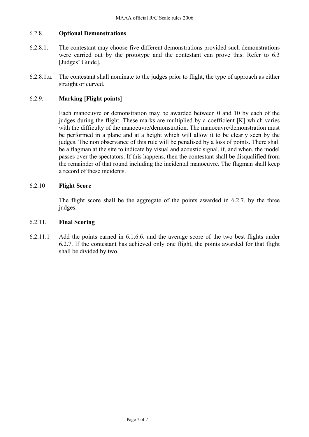# 6.2.8. **Optional Demonstrations**

- 6.2.8.1. The contestant may choose five different demonstrations provided such demonstrations were carried out by the prototype and the contestant can prove this. Refer to 6.3 [Judges' Guide].
- 6.2.8.1.a. The contestant shall nominate to the judges prior to flight, the type of approach as either straight or curved.

# 6.2.9. **Marking [Flight points**]

Each manoeuvre or demonstration may be awarded between 0 and 10 by each of the judges during the flight. These marks are multiplied by a coefficient [K] which varies with the difficulty of the manoeuvre/demonstration. The manoeuvre/demonstration must be performed in a plane and at a height which will allow it to be clearly seen by the judges. The non observance of this rule will be penalised by a loss of points. There shall be a flagman at the site to indicate by visual and acoustic signal, if, and when, the model passes over the spectators. If this happens, then the contestant shall be disqualified from the remainder of that round including the incidental manoeuvre. The flagman shall keep a record of these incidents.

# 6.2.10 **Flight Score**

The flight score shall be the aggregate of the points awarded in 6.2.7. by the three judges.

## 6.2.11. **Final Scoring**

6.2.11.1 Add the points earned in 6.1.6.6. and the average score of the two best flights under 6.2.7. If the contestant has achieved only one flight, the points awarded for that flight shall be divided by two.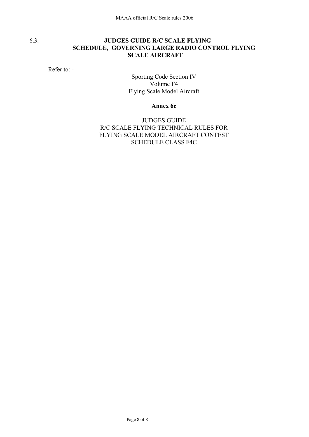# 6.3. **JUDGES GUIDE R/C SCALE FLYING SCHEDULE, GOVERNING LARGE RADIO CONTROL FLYING SCALE AIRCRAFT**

Refer to: -

Sporting Code Section IV Volume F4 Flying Scale Model Aircraft

**Annex 6c** 

JUDGES GUIDE R/C SCALE FLYING TECHNICAL RULES FOR FLYING SCALE MODEL AIRCRAFT CONTEST SCHEDULE CLASS F4C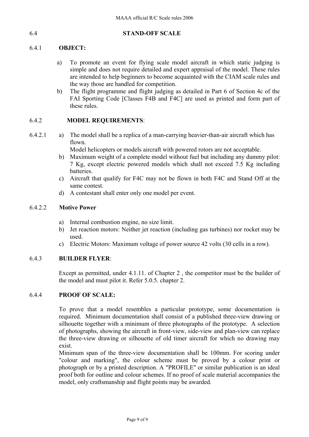## 6.4 **STAND-OFF SCALE**

# 6.4.1 **OBJECT:**

- a) To promote an event for flying scale model aircraft in which static judging is simple and does not require detailed and expert appraisal of the model. These rules are intended to help beginners to become acquainted with the CIAM scale rules and the way those are handled for competition.
- b) The flight programme and flight judging as detailed in Part 6 of Section 4c of the FAI Sporting Code [Classes F4B and F4C] are used as printed and form part of these rules.

# 6.4.2 **MODEL REQUIREMENTS**:

6.4.2.1 a) The model shall be a replica of a man-carrying heavier-than-air aircraft which has flown.

Model helicopters or models aircraft with powered rotors are not acceptable.

- b) Maximum weight of a complete model without fuel but including any dummy pilot: 7 Kg, except electric powered models which shall not exceed 7.5 Kg including batteries.
- c) Aircraft that qualify for F4C may not be flown in both F4C and Stand Off at the same contest.
- d) A contestant shall enter only one model per event.

# 6.4.2.2 **Motive Power**

- a) Internal combustion engine, no size limit.
- b) Jet reaction motors: Neither jet reaction (including gas turbines) nor rocket may be used.
- c) Electric Motors: Maximum voltage of power source 42 volts (30 cells in a row).

# 6.4.3 **BUILDER FLYER**:

Except as permitted, under 4.1.11. of Chapter 2 , the competitor must be the builder of the model and must pilot it. Refer 5.0.5. chapter 2.

# 6.4.4 **PROOF OF SCALE:**

To prove that a model resembles a particular prototype, some documentation is required. Minimum documentation shall consist of a published three-view drawing or silhouette together with a minimum of three photographs of the prototype. A selection of photographs, showing the aircraft in front-view, side-view and plan-view can replace the three-view drawing or silhouette of old timer aircraft for which no drawing may exist.

Minimum span of the three-view documentation shall be 100mm. For scoring under "colour and marking", the colour scheme must be proved by a colour print or photograph or by a printed description. A "PROFILE" or similar publication is an ideal proof both for outline and colour schemes. If no proof of scale material accompanies the model, only craftsmanship and flight points may be awarded.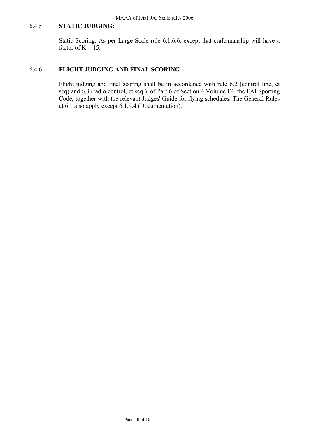# 6.4.5 **STATIC JUDGING:**

Static Scoring: As per Large Scale rule 6.1.6.6. except that craftsmanship will have a factor of  $K = 15$ .

## 6.4.6 **FLIGHT JUDGING AND FINAL SCORING**

Flight judging and final scoring shall be in accordance with rule 6.2 (control line, et seq) and 6.3 (radio control, et seq ), of Part 6 of Section 4 Volume F4 the FAI Sporting Code, together with the relevant Judges' Guide for flying schedules. The General Rules at 6.1 also apply except 6.1.9.4 (Documentation).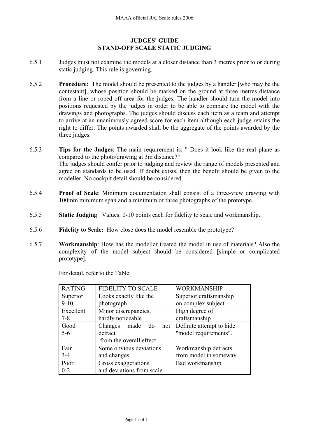# **JUDGES' GUIDE STAND-OFF SCALE STATIC JUDGING**

- 6.5.1 Judges must not examine the models at a closer distance than 3 metres prior to or during static judging. This rule is governing.
- 6.5.2 **Procedure**: The model should be presented to the judges by a handler [who may be the contestant], whose position should be marked on the ground at three metres distance from a line or roped-off area for the judges. The handler should turn the model into positions requested by the judges in order to be able to compare the model with the drawings and photographs. The judges should discuss each item as a team and attempt to arrive at an unanimously agreed score for each item although each judge retains the right to differ. The points awarded shall be the aggregate of the points awarded by the three judges.
- 6.5.3 **Tips for the Judges**: The main requirement is: " Does it look like the real plane as compared to the photo/drawing at 3m distance?" The judges should confer prior to judging and review the range of models presented and agree on standards to be used. If doubt exists, then the benefit should be given to the modeller. No cockpit detail should be considered.
- 6.5.4 **Proof of Scale**: Minimum documentation shall consist of a three-view drawing with 100mm minimum span and a minimum of three photographs of the prototype.
- 6.5.5 **Static Judging** Values: 0-10 points each for fidelity to scale and workmanship.
- 6.5.6 **Fidelity to Scale:** How close does the model resemble the prototype?
- 6.5.7 **Workmanship**: How has the modeller treated the model in use of materials? Also the complexity of the model subject should be considered [simple or complicated prototype].

For detail, refer to the Table.

| <b>RATING</b> | <b>FIDELITY TO SCALE</b>     | <b>WORKMANSHIP</b>       |
|---------------|------------------------------|--------------------------|
| Superior      | Looks exactly like the       | Superior craftsmanship   |
| $9 - 10$      | photograph                   | on complex subject       |
| Excellent     | Minor discrepancies,         | High degree of           |
| $7 - 8$       | hardly noticeable            | craftsmanship            |
| Good          | Changes<br>made<br>do<br>not | Definite attempt to hide |
| $5-6$         | detract                      | "model requirements".    |
|               | from the overall effect      |                          |
| Fair          | Some obvious deviations      | Workmanship detracts     |
| $3 - 4$       | and changes                  | from model in someway    |
| Poor          | Gross exaggerations          | Bad workmanship.         |
| $0 - 2$       | and deviations from scale.   |                          |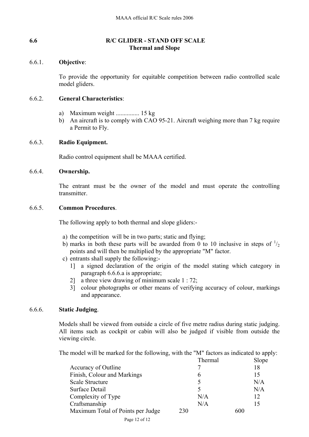# **6.6 R/C GLIDER - STAND OFF SCALE Thermal and Slope**

# 6.6.1. **Objective**:

To provide the opportunity for equitable competition between radio controlled scale model gliders.

## 6.6.2. **General Characteristics**:

- a) Maximum weight ............... 15 kg
- b) An aircraft is to comply with CAO 95-21. Aircraft weighing more than 7 kg require a Permit to Fly.

# 6.6.3. **Radio Equipment.**

Radio control equipment shall be MAAA certified.

# 6.6.4. **Ownership.**

The entrant must be the owner of the model and must operate the controlling transmitter.

# 6.6.5. **Common Procedures**.

The following apply to both thermal and slope gliders:-

- a) the competition will be in two parts; static and flying;
- b) marks in both these parts will be awarded from 0 to 10 inclusive in steps of  $\frac{1}{2}$ points and will then be multiplied by the appropriate "M" factor.
- c) entrants shall supply the following:-
	- 1] a signed declaration of the origin of the model stating which category in paragraph 6.6.6.a is appropriate;
	- 2] a three view drawing of minimum scale 1 : 72;
	- 3] colour photographs or other means of verifying accuracy of colour, markings and appearance.

# 6.6.6. **Static Judging**.

Models shall be viewed from outside a circle of five metre radius during static judging. All items such as cockpit or cabin will also be judged if visible from outside the viewing circle.

The model will be marked for the following, with the "M" factors as indicated to apply:

|                                                     | Thermal | Slope |
|-----------------------------------------------------|---------|-------|
| Accuracy of Outline                                 |         | 18    |
| Finish, Colour and Markings                         | 6       | 15    |
| <b>Scale Structure</b>                              | 5       | N/A   |
| Surface Detail                                      | 5       | N/A   |
| Complexity of Type                                  | N/A     | 12    |
| Craftsmanship                                       | N/A     | 15    |
| Maximum Total of Points per Judge                   | 230     | 600   |
| $\mathbf{r}$ $\mathbf{r}$ $\mathbf{r}$ $\mathbf{r}$ |         |       |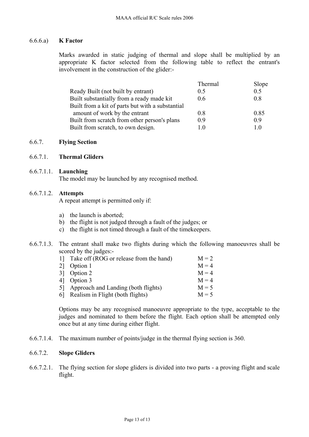## 6.6.6.a) **K Factor**

Marks awarded in static judging of thermal and slope shall be multiplied by an appropriate K factor selected from the following table to reflect the entrant's involvement in the construction of the glider:-

|                                                  | Thermal | Slope |
|--------------------------------------------------|---------|-------|
| Ready Built (not built by entrant)               | 0.5     | 0.5   |
| Built substantially from a ready made kit        | 0.6     | 08    |
| Built from a kit of parts but with a substantial |         |       |
| amount of work by the entrant                    | 0.8     | 0.85  |
| Built from scratch from other person's plans     | 0.9     | 09    |
| Built from scratch, to own design.               | l ()    | 10    |

#### 6.6.7. **Flying Section**

#### 6.6.7.1. **Thermal Gliders**

#### 6.6.7.1.1. **Launching**

The model may be launched by any recognised method.

#### 6.6.7.1.2. **Attempts**

A repeat attempt is permitted only if:

- a) the launch is aborted;
- b) the flight is not judged through a fault of the judges; or
- c) the flight is not timed through a fault of the timekeepers.
- 6.6.7.1.3. The entrant shall make two flights during which the following manoeuvres shall be scored by the judges:-

| 1] Take off (ROG or release from the hand) | $M = 2$ |
|--------------------------------------------|---------|
| 2] Option 1                                | $M = 4$ |
| 3 Option 2                                 | $M = 4$ |
| 4 Option 3                                 | $M = 4$ |
| 5] Approach and Landing (both flights)     | $M = 5$ |
| 6 Realism in Flight (both flights)         | $M = 5$ |

Options may be any recognised manoeuvre appropriate to the type, acceptable to the judges and nominated to them before the flight. Each option shall be attempted only once but at any time during either flight.

6.6.7.1.4. The maximum number of points/judge in the thermal flying section is 360.

# 6.6.7.2. **Slope Gliders**

6.6.7.2.1. The flying section for slope gliders is divided into two parts - a proving flight and scale flight.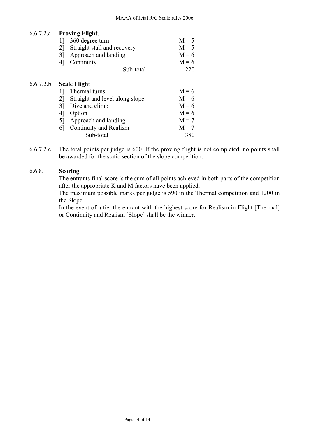# 6.6.7.2.a **Proving Flight**.

| $0.0.7.4$ . | ттомие гиени.                        |         |
|-------------|--------------------------------------|---------|
|             | 360 degree turn<br>11                | $M = 5$ |
|             | Straight stall and recovery<br>21    | $M = 5$ |
|             | Approach and landing<br>31           | $M = 6$ |
|             | Continuity<br>4                      | $M = 6$ |
|             | Sub-total                            | 220     |
| 6.6.7.2.b   | <b>Scale Flight</b>                  |         |
|             | Thermal turns                        | $M = 6$ |
|             | Straight and level along slope<br>21 | $M = 6$ |
|             | Dive and climb<br>31                 | $M = 6$ |
|             | 41<br>Option                         | $M = 6$ |
|             | Approach and landing<br>51           | $M = 7$ |
|             | Continuity and Realism<br>61         | $M = 7$ |

6.6.7.2.c The total points per judge is 600. If the proving flight is not completed, no points shall be awarded for the static section of the slope competition.

Sub-total 380

## 6.6.8. **Scoring**

The entrants final score is the sum of all points achieved in both parts of the competition after the appropriate K and M factors have been applied.

The maximum possible marks per judge is 590 in the Thermal competition and 1200 in the Slope.

In the event of a tie, the entrant with the highest score for Realism in Flight [Thermal] or Continuity and Realism [Slope] shall be the winner.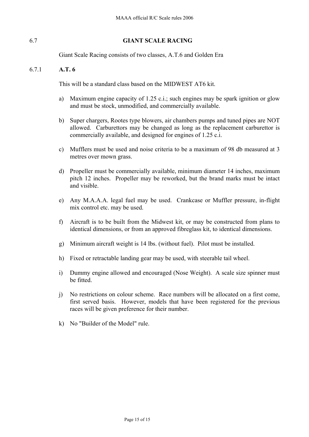# 6.7 **GIANT SCALE RACING**

Giant Scale Racing consists of two classes, A.T.6 and Golden Era

# 6.7.1 **A.T. 6**

This will be a standard class based on the MIDWEST AT6 kit.

- a) Maximum engine capacity of 1.25 c.i.; such engines may be spark ignition or glow and must be stock, unmodified, and commercially available.
- b) Super chargers, Rootes type blowers, air chambers pumps and tuned pipes are NOT allowed. Carburettors may be changed as long as the replacement carburettor is commercially available, and designed for engines of 1.25 c.i.
- c) Mufflers must be used and noise criteria to be a maximum of 98 db measured at 3 metres over mown grass.
- d) Propeller must be commercially available, minimum diameter 14 inches, maximum pitch 12 inches. Propeller may be reworked, but the brand marks must be intact and visible.
- e) Any M.A.A.A. legal fuel may be used. Crankcase or Muffler pressure, in-flight mix control etc. may be used.
- f) Aircraft is to be built from the Midwest kit, or may be constructed from plans to identical dimensions, or from an approved fibreglass kit, to identical dimensions.
- g) Minimum aircraft weight is 14 lbs. (without fuel). Pilot must be installed.
- h) Fixed or retractable landing gear may be used, with steerable tail wheel.
- i) Dummy engine allowed and encouraged (Nose Weight). A scale size spinner must be fitted.
- j) No restrictions on colour scheme. Race numbers will be allocated on a first come, first served basis. However, models that have been registered for the previous races will be given preference for their number.
- k) No "Builder of the Model" rule.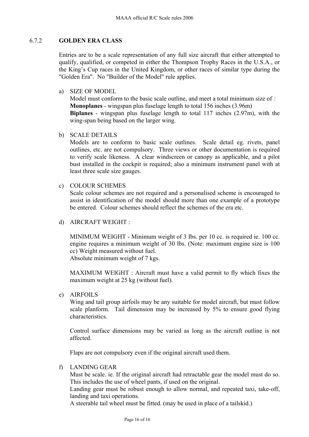# 6.7.2 **GOLDEN ERA CLASS**

Entries are to be a scale representation of any full size aircraft that either attempted to qualify, qualified, or competed in either the Thompson Trophy Races in the U.S.A., or the King's Cup races in the United Kingdom, or other races of similar type during the "Golden Era". No "Builder of the Model" rule applies.

a) SIZE OF MODEL

Model must conform to the basic scale outline, and meet a total minimum size of *:* **Monoplanes** - wingspan plus fuselage length to total 156 inches (3.96m) **Biplanes** - wingspan plus fuselage length to total 117 inches (2.97m), with the wing-span being based on the larger wing.

b) SCALE DETAILS

Models are to conform to basic scale outlines. Scale detail eg. rivets, panel outlines, etc. are not compulsory. Three views or other documentation is required to verify scale likeness. A clear windscreen or canopy as applicable, and a pilot bust installed in the cockpit is required; also a minimum instrument panel with at least three scale size gauges.

c) COLOUR SCHEMES

Scale colour schemes are not required and a personalised scheme is encouraged to assist in identification of the model should more than one example of a prototype be entered. Colour schemes should reflect the schemes of the era etc.

d) AIRCRAFT WEIGHT :

MINIMUM WEIGHT - Minimum weight of 3 Ibs. per 10 cc. is required ie. 100 cc. engine requires a minimum weight of 30 lbs. (Note: maximum engine size is 100 cc) Weight measured without fuel.

Absolute minimum weight of 7 kgs.

MAXIMUM WEIGHT : Aircraft must have a valid permit to fly which fixes the maximum weight at 25 kg (without fuel).

e) AIRFOILS

Wing and tail group airfoils may be any suitable for model aircraft, but must follow scale planform. Tail dimension may be increased by 5% to ensure good flying characteristics.

Control surface dimensions may be varied as long as the aircraft outline is not affected.

Flaps are not compulsory even if the original aircraft used them.

f) LANDING GEAR

Must be scale. ie. If the original aircraft had retractable gear the model must do so. This includes the use of wheel pants, if used on the original.

Landing gear must be robust enough to allow normal, and repeated taxi, take-off, landing and taxi operations.

A steerable tail wheel must be fitted. (may be used in place of a tailskid.)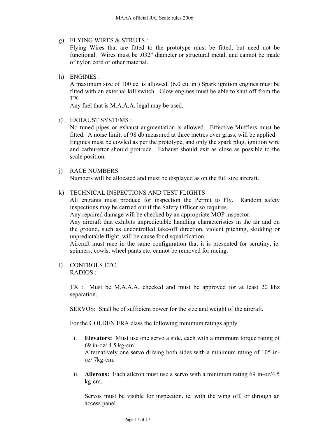g) FLYING WIRES & STRUTS :

Flying Wires that are fitted to the prototype must be fitted, but need not be functional. Wires must be .032" diameter or structural metal, and cannot be made of nylon cord or other material.

h) ENGINES :

A maximum size of 100 cc. is allowed. (6.0 cu. in.) Spark ignition engines must be fitted with an external kill switch. Glow engines must be able to shut off from the TX.

Any fuel that is M.A.A.A. legal may be used.

i) EXHAUST SYSTEMS :

No tuned pipes or exhaust augmentation is allowed. Effective Mufflers must be fitted. A noise limit, of 98 db measured at three metres over grass, will be applied. Engines must be cowled as per the prototype, and only the spark plug, ignition wire and carburettor should protrude. Exhaust should exit as close as possible to the scale position.

# j) RACE NUMBERS

Numbers will be allocated and must be displayed as on the full size aircraft.

# k) TECHNICAL INSPECTIONS AND TEST FLIGHTS

All entrants must produce for inspection the Permit to Fly. Random safety inspections may be carried out if the Safety Officer so requires.

Any repaired damage will be checked by an appropriate MOP inspector.

Any aircraft that exhibits unpredictable handling characteristics in the air and on the ground, such as uncontrolled take-off direction, violent pitching, skidding or unpredictable flight, will be cause for disqualification.

Aircraft must race in the same configuration that it is presented for scrutiny, ie. spinners, cowls, wheel pants etc. cannot be removed for racing.

l) CONTROLS ETC. RADIOS :

> TX : Must be M.A.A.A. checked and must be approved for at least 20 khz separation.

SERVOS: Shall be of sufficient power for the size and weight of the aircraft.

For the GOLDEN ERA class the following minimum ratings apply.

- i. **Elevators:** Must use one servo a side, each with a minimum torque rating of 69 in-oz/ 4.5 kg-cm. Alternatively one servo driving both sides with a minimum rating of 105 inoz/ 7kg-cm.
- ii. **Ailerons:** Each aileron must use a servo with a minimum rating 69 in-oz/4.5 kg-cm.

Servos must be visible for inspection. ie. with the wing off, or through an access panel.